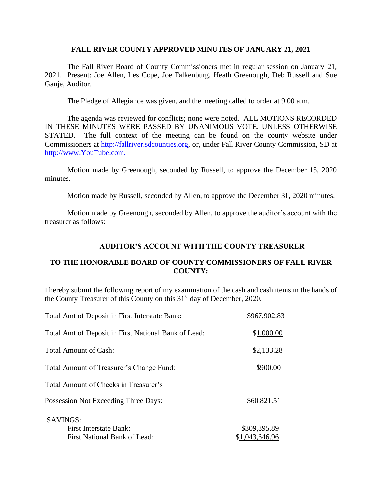### **FALL RIVER COUNTY APPROVED MINUTES OF JANUARY 21, 2021**

The Fall River Board of County Commissioners met in regular session on January 21, 2021. Present: Joe Allen, Les Cope, Joe Falkenburg, Heath Greenough, Deb Russell and Sue Ganje, Auditor.

The Pledge of Allegiance was given, and the meeting called to order at 9:00 a.m.

The agenda was reviewed for conflicts; none were noted. ALL MOTIONS RECORDED IN THESE MINUTES WERE PASSED BY UNANIMOUS VOTE, UNLESS OTHERWISE STATED. The full context of the meeting can be found on the county website under Commissioners at [http://fallriver.sdcounties.org,](http://fallriver.sdcounties.org/) or, under Fall River County Commission, SD at [http://www.YouTube.com.](http://www.youtube.com/)

Motion made by Greenough, seconded by Russell, to approve the December 15, 2020 minutes.

Motion made by Russell, seconded by Allen, to approve the December 31, 2020 minutes.

Motion made by Greenough, seconded by Allen, to approve the auditor's account with the treasurer as follows:

# **AUDITOR'S ACCOUNT WITH THE COUNTY TREASURER**

# **TO THE HONORABLE BOARD OF COUNTY COMMISSIONERS OF FALL RIVER COUNTY:**

I hereby submit the following report of my examination of the cash and cash items in the hands of the County Treasurer of this County on this 31<sup>st</sup> day of December, 2020.

| Total Amt of Deposit in First Interstate Bank:       | \$967,902.83   |
|------------------------------------------------------|----------------|
| Total Amt of Deposit in First National Bank of Lead: | \$1,000.00     |
| Total Amount of Cash:                                | \$2,133.28     |
| Total Amount of Treasurer's Change Fund:             | \$900.00       |
| Total Amount of Checks in Treasurer's                |                |
| Possession Not Exceeding Three Days:                 | \$60,821.51    |
| <b>SAVINGS:</b>                                      |                |
| <b>First Interstate Bank:</b>                        | \$309,895.89   |
| <b>First National Bank of Lead:</b>                  | \$1,043,646.96 |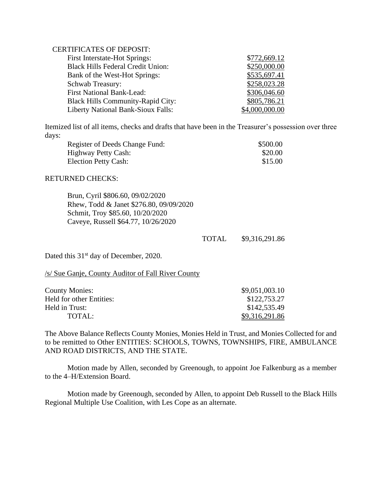# CERTIFICATES OF DEPOSIT:

| <b>First Interstate-Hot Springs:</b>      | \$772,669.12   |
|-------------------------------------------|----------------|
| <b>Black Hills Federal Credit Union:</b>  | \$250,000.00   |
| Bank of the West-Hot Springs:             | \$535,697.41   |
| Schwab Treasury:                          | \$258,023.28   |
| <b>First National Bank-Lead:</b>          | \$306,046.60   |
| <b>Black Hills Community-Rapid City:</b>  | \$805,786.21   |
| <b>Liberty National Bank-Sioux Falls:</b> | \$4,000,000.00 |

Itemized list of all items, checks and drafts that have been in the Treasurer's possession over three days:

| Register of Deeds Change Fund: | \$500.00 |
|--------------------------------|----------|
| Highway Petty Cash:            | \$20.00  |
| Election Petty Cash:           | \$15.00  |

#### RETURNED CHECKS:

Brun, Cyril \$806.60, 09/02/2020 Rhew, Todd & Janet \$276.80, 09/09/2020 Schmit, Troy \$85.60, 10/20/2020 Caveye, Russell \$64.77, 10/26/2020

TOTAL \$9,316,291.86

Dated this 31<sup>st</sup> day of December, 2020.

/s/ Sue Ganje, County Auditor of Fall River County

| <b>County Monies:</b>    | \$9,051,003.10 |
|--------------------------|----------------|
| Held for other Entities: | \$122,753.27   |
| Held in Trust:           | \$142,535.49   |
| TOTAL:                   | \$9,316,291.86 |

The Above Balance Reflects County Monies, Monies Held in Trust, and Monies Collected for and to be remitted to Other ENTITIES: SCHOOLS, TOWNS, TOWNSHIPS, FIRE, AMBULANCE AND ROAD DISTRICTS, AND THE STATE.

Motion made by Allen, seconded by Greenough, to appoint Joe Falkenburg as a member to the 4–H/Extension Board.

Motion made by Greenough, seconded by Allen, to appoint Deb Russell to the Black Hills Regional Multiple Use Coalition, with Les Cope as an alternate.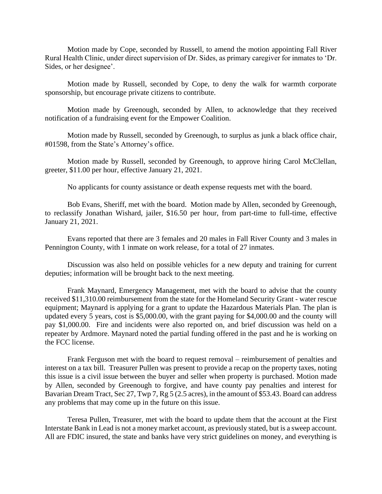Motion made by Cope, seconded by Russell, to amend the motion appointing Fall River Rural Health Clinic, under direct supervision of Dr. Sides, as primary caregiver for inmates to 'Dr. Sides, or her designee'.

Motion made by Russell, seconded by Cope, to deny the walk for warmth corporate sponsorship, but encourage private citizens to contribute.

Motion made by Greenough, seconded by Allen, to acknowledge that they received notification of a fundraising event for the Empower Coalition.

Motion made by Russell, seconded by Greenough, to surplus as junk a black office chair, #01598, from the State's Attorney's office.

Motion made by Russell, seconded by Greenough, to approve hiring Carol McClellan, greeter, \$11.00 per hour, effective January 21, 2021.

No applicants for county assistance or death expense requests met with the board.

Bob Evans, Sheriff, met with the board. Motion made by Allen, seconded by Greenough, to reclassify Jonathan Wishard, jailer, \$16.50 per hour, from part-time to full-time, effective January 21, 2021.

Evans reported that there are 3 females and 20 males in Fall River County and 3 males in Pennington County, with 1 inmate on work release, for a total of 27 inmates.

Discussion was also held on possible vehicles for a new deputy and training for current deputies; information will be brought back to the next meeting.

Frank Maynard, Emergency Management, met with the board to advise that the county received \$11,310.00 reimbursement from the state for the Homeland Security Grant - water rescue equipment; Maynard is applying for a grant to update the Hazardous Materials Plan. The plan is updated every 5 years, cost is \$5,000.00, with the grant paying for \$4,000.00 and the county will pay \$1,000.00. Fire and incidents were also reported on, and brief discussion was held on a repeater by Ardmore. Maynard noted the partial funding offered in the past and he is working on the FCC license.

Frank Ferguson met with the board to request removal – reimbursement of penalties and interest on a tax bill. Treasurer Pullen was present to provide a recap on the property taxes, noting this issue is a civil issue between the buyer and seller when property is purchased. Motion made by Allen, seconded by Greenough to forgive, and have county pay penalties and interest for Bavarian Dream Tract, Sec 27, Twp 7, Rg 5 (2.5 acres), in the amount of \$53.43. Board can address any problems that may come up in the future on this issue.

Teresa Pullen, Treasurer, met with the board to update them that the account at the First Interstate Bank in Lead is not a money market account, as previously stated, but is a sweep account. All are FDIC insured, the state and banks have very strict guidelines on money, and everything is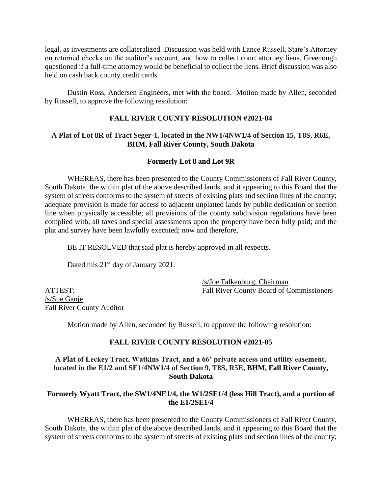legal, as investments are collateralized. Discussion was held with Lance Russell, State's Attorney on returned checks on the auditor's account, and how to collect court attorney liens. Greenough questioned if a full-time attorney would be beneficial to collect the liens. Brief discussion was also held on cash back county credit cards.

Dustin Ross, Andersen Engineers, met with the board. Motion made by Allen, seconded by Russell, to approve the following resolution:

### **FALL RIVER COUNTY RESOLUTION #2021-04**

# **A Plat of Lot 8R of Tract Seger-1, located in the NW1/4NW1/4 of Section 15, T8S, R6E, BHM, Fall River County, South Dakota**

# **Formerly Lot 8 and Lot 9R**

WHEREAS, there has been presented to the County Commissioners of Fall River County, South Dakota, the within plat of the above described lands, and it appearing to this Board that the system of streets conforms to the system of streets of existing plats and section lines of the county; adequate provision is made for access to adjacent unplatted lands by public dedication or section line when physically accessible; all provisions of the county subdivision regulations have been complied with; all taxes and special assessments upon the property have been fully paid; and the plat and survey have been lawfully executed; now and therefore,

BE IT RESOLVED that said plat is hereby approved in all respects.

Dated this 21<sup>st</sup> day of January 2021.

/s/Sue Ganje Fall River County Auditor

/s/Joe Falkenburg, Chairman ATTEST: Fall River County Board of Commissioners

Motion made by Allen, seconded by Russell, to approve the following resolution:

#### **FALL RIVER COUNTY RESOLUTION #2021-05**

**A Plat of Leckey Tract, Watkins Tract, and a 66' private access and utility easement, located in the E1/2 and SE1/4NW1/4 of Section 9, T8S, R5E, BHM, Fall River County, South Dakota**

#### **Formerly Wyatt Tract, the SW1/4NE1/4, the W1/2SE1/4 (less Hill Tract), and a portion of the E1/2SE1/4**

WHEREAS, there has been presented to the County Commissioners of Fall River County, South Dakota, the within plat of the above described lands, and it appearing to this Board that the system of streets conforms to the system of streets of existing plats and section lines of the county;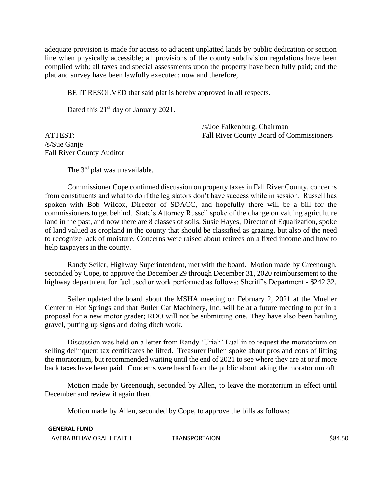adequate provision is made for access to adjacent unplatted lands by public dedication or section line when physically accessible; all provisions of the county subdivision regulations have been complied with; all taxes and special assessments upon the property have been fully paid; and the plat and survey have been lawfully executed; now and therefore,

BE IT RESOLVED that said plat is hereby approved in all respects.

Dated this 21<sup>st</sup> day of January 2021.

/s/Joe Falkenburg, Chairman ATTEST: Fall River County Board of Commissioners

/s/Sue Ganje Fall River County Auditor

The 3<sup>rd</sup> plat was unavailable.

Commissioner Cope continued discussion on property taxes in Fall River County, concerns from constituents and what to do if the legislators don't have success while in session. Russell has spoken with Bob Wilcox, Director of SDACC, and hopefully there will be a bill for the commissioners to get behind. State's Attorney Russell spoke of the change on valuing agriculture land in the past, and now there are 8 classes of soils. Susie Hayes, Director of Equalization, spoke of land valued as cropland in the county that should be classified as grazing, but also of the need to recognize lack of moisture. Concerns were raised about retirees on a fixed income and how to help taxpayers in the county.

Randy Seiler, Highway Superintendent, met with the board. Motion made by Greenough, seconded by Cope, to approve the December 29 through December 31, 2020 reimbursement to the highway department for fuel used or work performed as follows: Sheriff's Department - \$242.32.

Seiler updated the board about the MSHA meeting on February 2, 2021 at the Mueller Center in Hot Springs and that Butler Cat Machinery, Inc. will be at a future meeting to put in a proposal for a new motor grader; RDO will not be submitting one. They have also been hauling gravel, putting up signs and doing ditch work.

Discussion was held on a letter from Randy 'Uriah' Luallin to request the moratorium on selling delinquent tax certificates be lifted. Treasurer Pullen spoke about pros and cons of lifting the moratorium, but recommended waiting until the end of 2021 to see where they are at or if more back taxes have been paid. Concerns were heard from the public about taking the moratorium off.

Motion made by Greenough, seconded by Allen, to leave the moratorium in effect until December and review it again then.

Motion made by Allen, seconded by Cope, to approve the bills as follows:

**GENERAL FUND** AVERA BEHAVIORAL HEALTH TRANSPORTAION TRANSPORTAION S84.50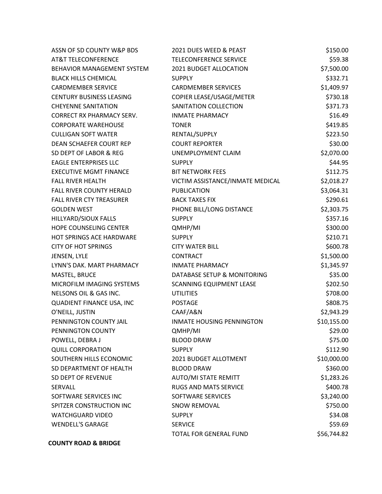| ASSN OF SD COUNTY W&P BDS         | 2021 DUES WEED & PEAST           | \$150.00    |
|-----------------------------------|----------------------------------|-------------|
| AT&T TELECONFERENCE               | TELECONFERENCE SERVICE           | \$59.38     |
| <b>BEHAVIOR MANAGEMENT SYSTEM</b> | 2021 BUDGET ALLOCATION           | \$7,500.00  |
| <b>BLACK HILLS CHEMICAL</b>       | <b>SUPPLY</b>                    | \$332.71    |
| <b>CARDMEMBER SERVICE</b>         | <b>CARDMEMBER SERVICES</b>       | \$1,409.97  |
| <b>CENTURY BUSINESS LEASING</b>   | COPIER LEASE/USAGE/METER         | \$730.18    |
| <b>CHEYENNE SANITATION</b>        | SANITATION COLLECTION            | \$371.73    |
| <b>CORRECT RX PHARMACY SERV.</b>  | <b>INMATE PHARMACY</b>           | \$16.49     |
| <b>CORPORATE WAREHOUSE</b>        | <b>TONER</b>                     | \$419.85    |
| <b>CULLIGAN SOFT WATER</b>        | RENTAL/SUPPLY                    | \$223.50    |
| DEAN SCHAEFER COURT REP           | <b>COURT REPORTER</b>            | \$30.00     |
| SD DEPT OF LABOR & REG            | UNEMPLOYMENT CLAIM               | \$2,070.00  |
| <b>EAGLE ENTERPRISES LLC</b>      | <b>SUPPLY</b>                    | \$44.95     |
| <b>EXECUTIVE MGMT FINANCE</b>     | <b>BIT NETWORK FEES</b>          | \$112.75    |
| <b>FALL RIVER HEALTH</b>          | VICTIM ASSISTANCE/INMATE MEDICAL | \$2,018.27  |
| <b>FALL RIVER COUNTY HERALD</b>   | <b>PUBLICATION</b>               | \$3,064.31  |
| <b>FALL RIVER CTY TREASURER</b>   | <b>BACK TAXES FIX</b>            | \$290.61    |
| <b>GOLDEN WEST</b>                | PHONE BILL/LONG DISTANCE         | \$2,303.75  |
| HILLYARD/SIOUX FALLS              | <b>SUPPLY</b>                    | \$357.16    |
| HOPE COUNSELING CENTER            | QMHP/MI                          | \$300.00    |
| <b>HOT SPRINGS ACE HARDWARE</b>   | <b>SUPPLY</b>                    | \$210.71    |
| <b>CITY OF HOT SPRINGS</b>        | <b>CITY WATER BILL</b>           | \$600.78    |
| JENSEN, LYLE                      | <b>CONTRACT</b>                  | \$1,500.00  |
| LYNN'S DAK. MART PHARMACY         | <b>INMATE PHARMACY</b>           | \$1,345.97  |
| MASTEL, BRUCE                     | DATABASE SETUP & MONITORING      | \$35.00     |
| MICROFILM IMAGING SYSTEMS         | SCANNING EQUIPMENT LEASE         | \$202.50    |
| NELSONS OIL & GAS INC.            | <b>UTILITIES</b>                 | \$708.00    |
| QUADIENT FINANCE USA, INC         | <b>POSTAGE</b>                   | \$808.75    |
| O'NEILL, JUSTIN                   | CAAF/A&N                         | \$2,943.29  |
| PENNINGTON COUNTY JAIL            | INMATE HOUSING PENNINGTON        | \$10,155.00 |
| PENNINGTON COUNTY                 | QMHP/MI                          | \$29.00     |
| POWELL, DEBRA J                   | <b>BLOOD DRAW</b>                | \$75.00     |
| <b>QUILL CORPORATION</b>          | <b>SUPPLY</b>                    | \$112.90    |
| SOUTHERN HILLS ECONOMIC           | 2021 BUDGET ALLOTMENT            | \$10,000.00 |
| SD DEPARTMENT OF HEALTH           | <b>BLOOD DRAW</b>                | \$360.00    |
| SD DEPT OF REVENUE                | <b>AUTO/MI STATE REMITT</b>      | \$1,283.26  |
| <b>SERVALL</b>                    | RUGS AND MATS SERVICE            | \$400.78    |
| SOFTWARE SERVICES INC             | SOFTWARE SERVICES                | \$3,240.00  |
| SPITZER CONSTRUCTION INC          | <b>SNOW REMOVAL</b>              | \$750.00    |
| <b>WATCHGUARD VIDEO</b>           | <b>SUPPLY</b>                    | \$34.08     |
| <b>WENDELL'S GARAGE</b>           | <b>SERVICE</b>                   | \$59.69     |
|                                   | TOTAL FOR GENERAL FUND           | \$56,744.82 |
| <b>COUNTY ROAD &amp; BRIDGE</b>   |                                  |             |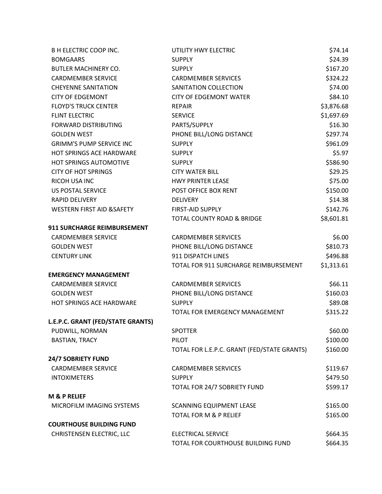| <b>B H ELECTRIC COOP INC.</b>     | UTILITY HWY ELECTRIC                        | \$74.14    |
|-----------------------------------|---------------------------------------------|------------|
| <b>BOMGAARS</b>                   | <b>SUPPLY</b>                               | \$24.39    |
| <b>BUTLER MACHINERY CO.</b>       | <b>SUPPLY</b>                               | \$167.20   |
| <b>CARDMEMBER SERVICE</b>         | <b>CARDMEMBER SERVICES</b>                  | \$324.22   |
| <b>CHEYENNE SANITATION</b>        | SANITATION COLLECTION                       | \$74.00    |
| <b>CITY OF EDGEMONT</b>           | <b>CITY OF EDGEMONT WATER</b>               | \$84.10    |
| <b>FLOYD'S TRUCK CENTER</b>       | <b>REPAIR</b>                               | \$3,876.68 |
| <b>FLINT ELECTRIC</b>             | <b>SERVICE</b>                              | \$1,697.69 |
| <b>FORWARD DISTRIBUTING</b>       | PARTS/SUPPLY                                | \$16.30    |
| <b>GOLDEN WEST</b>                | PHONE BILL/LONG DISTANCE                    | \$297.74   |
| <b>GRIMM'S PUMP SERVICE INC</b>   | <b>SUPPLY</b>                               | \$961.09   |
| HOT SPRINGS ACE HARDWARE          | <b>SUPPLY</b>                               | \$5.97     |
| HOT SPRINGS AUTOMOTIVE            | <b>SUPPLY</b>                               | \$586.90   |
| <b>CITY OF HOT SPRINGS</b>        | <b>CITY WATER BILL</b>                      | \$29.25    |
| RICOH USA INC                     | <b>HWY PRINTER LEASE</b>                    | \$75.00    |
| <b>US POSTAL SERVICE</b>          | POST OFFICE BOX RENT                        | \$150.00   |
| <b>RAPID DELIVERY</b>             | <b>DELIVERY</b>                             | \$14.38    |
| WESTERN FIRST AID & SAFETY        | FIRST-AID SUPPLY                            | \$142.76   |
|                                   | TOTAL COUNTY ROAD & BRIDGE                  | \$8,601.81 |
| 911 SURCHARGE REIMBURSEMENT       |                                             |            |
| <b>CARDMEMBER SERVICE</b>         | <b>CARDMEMBER SERVICES</b>                  | \$6.00     |
| <b>GOLDEN WEST</b>                | PHONE BILL/LONG DISTANCE                    | \$810.73   |
| <b>CENTURY LINK</b>               | 911 DISPATCH LINES                          | \$496.88   |
|                                   | TOTAL FOR 911 SURCHARGE REIMBURSEMENT       | \$1,313.61 |
| <b>EMERGENCY MANAGEMENT</b>       |                                             |            |
| <b>CARDMEMBER SERVICE</b>         | <b>CARDMEMBER SERVICES</b>                  | \$66.11    |
| <b>GOLDEN WEST</b>                | PHONE BILL/LONG DISTANCE                    | \$160.03   |
| <b>HOT SPRINGS ACE HARDWARE</b>   | <b>SUPPLY</b>                               | \$89.08    |
|                                   | TOTAL FOR EMERGENCY MANAGEMENT              | \$315.22   |
| L.E.P.C. GRANT (FED/STATE GRANTS) |                                             |            |
| PUDWILL, NORMAN                   | <b>SPOTTER</b>                              | \$60.00    |
| <b>BASTIAN, TRACY</b>             | <b>PILOT</b>                                | \$100.00   |
|                                   | TOTAL FOR L.E.P.C. GRANT (FED/STATE GRANTS) | \$160.00   |
| 24/7 SOBRIETY FUND                |                                             |            |
| <b>CARDMEMBER SERVICE</b>         | <b>CARDMEMBER SERVICES</b>                  | \$119.67   |
| <b>INTOXIMETERS</b>               | <b>SUPPLY</b>                               | \$479.50   |
|                                   | TOTAL FOR 24/7 SOBRIETY FUND                | \$599.17   |
| <b>M &amp; P RELIEF</b>           |                                             |            |
| MICROFILM IMAGING SYSTEMS         | SCANNING EQUIPMENT LEASE                    | \$165.00   |
|                                   | <b>TOTAL FOR M &amp; P RELIEF</b>           | \$165.00   |
| <b>COURTHOUSE BUILDING FUND</b>   |                                             |            |
| CHRISTENSEN ELECTRIC, LLC         | <b>ELECTRICAL SERVICE</b>                   | \$664.35   |
|                                   | TOTAL FOR COURTHOUSE BUILDING FUND          | \$664.35   |